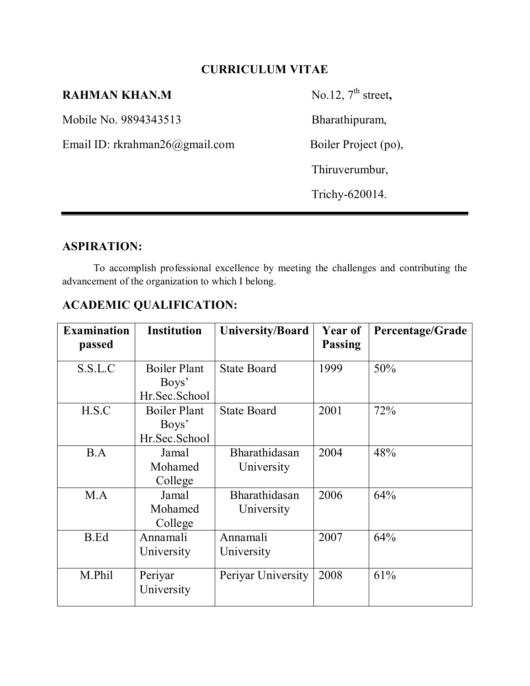# **CURRICULUM VITAE**

# **RAHMAN KHAN.M** No.12, 7<sup>th</sup> street,

Mobile No. 9894343513Bharathipuram,

Email ID: rkrahman26@gmail.com Boiler Project (po),

Thiruverumbur,

Trichy-620014.

## **ASPIRATION:**

To accomplish professional excellence by meeting the challenges and contributing the advancement of the organization to which I belong.

# **ACADEMIC QUALIFICATION:**

| <b>Examination</b> | <b>Institution</b>  | <b>University/Board</b> | <b>Year of</b><br><b>Passing</b> | Percentage/Grade |
|--------------------|---------------------|-------------------------|----------------------------------|------------------|
| passed             |                     |                         |                                  |                  |
| S.S.L.C            | <b>Boiler Plant</b> | <b>State Board</b>      | 1999                             | 50%              |
|                    | Boys'               |                         |                                  |                  |
|                    | Hr.Sec.School       |                         |                                  |                  |
| H.S.C              | <b>Boiler Plant</b> | <b>State Board</b>      | 2001                             | 72%              |
|                    | Boys'               |                         |                                  |                  |
|                    | Hr.Sec.School       |                         |                                  |                  |
| B.A                | Jamal               | Bharathidasan           | 2004                             | 48%              |
|                    | Mohamed             | University              |                                  |                  |
|                    | College             |                         |                                  |                  |
| M.A                | Jamal               | Bharathidasan           | 2006                             | 64%              |
|                    | Mohamed             | University              |                                  |                  |
|                    | College             |                         |                                  |                  |
| B.Ed               | Annamali            | Annamali                | 2007                             | 64%              |
|                    | University          | University              |                                  |                  |
|                    |                     |                         |                                  |                  |
| M.Phil             | Periyar             | Periyar University      | 2008                             | 61%              |
|                    | University          |                         |                                  |                  |
|                    |                     |                         |                                  |                  |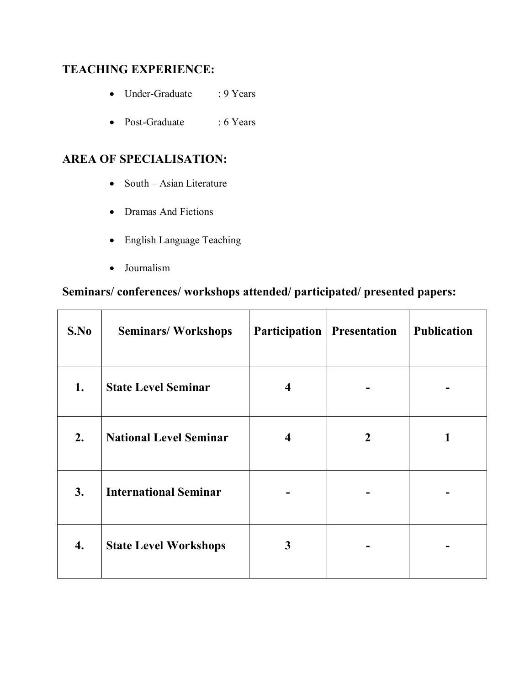# **TEACHING EXPERIENCE:**

- Under-Graduate : 9 Years
- Post-Graduate : 6 Years

# **AREA OF SPECIALISATION:**

- $\bullet$  South Asian Literature
- Dramas And Fictions
- English Language Teaching
- Journalism

# **Seminars/ conferences/ workshops attended/ participated/ presented papers:**

| S.No | <b>Seminars/Workshops</b>     | <b>Participation</b>   Presentation |   | <b>Publication</b> |
|------|-------------------------------|-------------------------------------|---|--------------------|
| 1.   | <b>State Level Seminar</b>    | 4                                   |   |                    |
| 2.   | <b>National Level Seminar</b> | 4                                   | 2 |                    |
| 3.   | <b>International Seminar</b>  |                                     |   |                    |
| 4.   | <b>State Level Workshops</b>  | 3                                   |   |                    |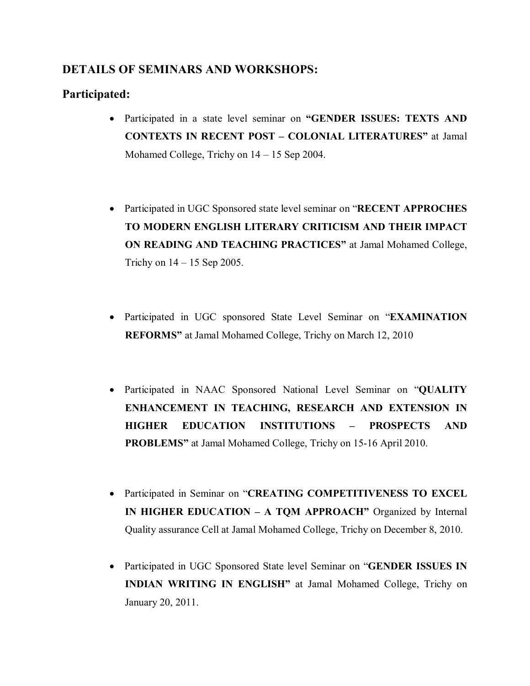### **DETAILS OF SEMINARS AND WORKSHOPS:**

### **Participated:**

- Participated in a state level seminar on **"GENDER ISSUES: TEXTS AND CONTEXTS IN RECENT POST – COLONIAL LITERATURES"** at Jamal Mohamed College, Trichy on 14 – 15 Sep 2004.
- Participated in UGC Sponsored state level seminar on "**RECENT APPROCHES TO MODERN ENGLISH LITERARY CRITICISM AND THEIR IMPACT ON READING AND TEACHING PRACTICES"** at Jamal Mohamed College, Trichy on  $14 - 15$  Sep 2005.
- Participated in UGC sponsored State Level Seminar on "**EXAMINATION REFORMS"** at Jamal Mohamed College, Trichy on March 12, 2010
- Participated in NAAC Sponsored National Level Seminar on "**QUALITY ENHANCEMENT IN TEACHING, RESEARCH AND EXTENSION IN HIGHER EDUCATION INSTITUTIONS – PROSPECTS AND PROBLEMS"** at Jamal Mohamed College, Trichy on 15-16 April 2010.
- Participated in Seminar on "**CREATING COMPETITIVENESS TO EXCEL IN HIGHER EDUCATION – A TOM APPROACH**" Organized by Internal Quality assurance Cell at Jamal Mohamed College, Trichy on December 8, 2010.
- Participated in UGC Sponsored State level Seminar on "**GENDER ISSUES IN INDIAN WRITING IN ENGLISH"** at Jamal Mohamed College, Trichy on January 20, 2011.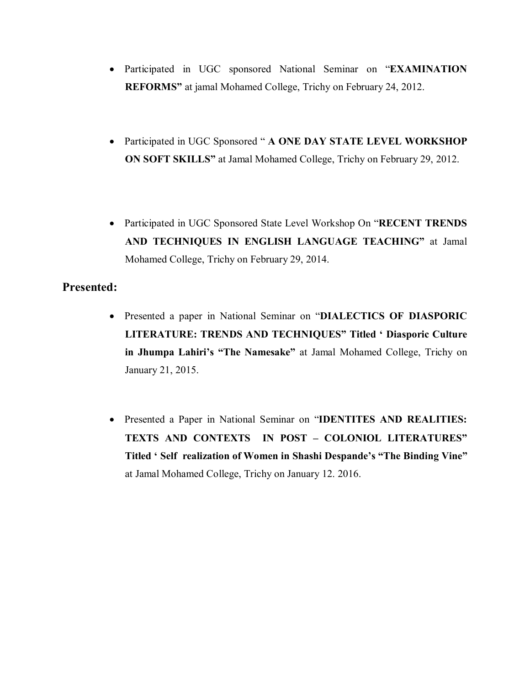- Participated in UGC sponsored National Seminar on "**EXAMINATION REFORMS"** at jamal Mohamed College, Trichy on February 24, 2012.
- Participated in UGC Sponsored " **A ONE DAY STATE LEVEL WORKSHOP ON SOFT SKILLS"** at Jamal Mohamed College, Trichy on February 29, 2012.
- Participated in UGC Sponsored State Level Workshop On "**RECENT TRENDS AND TECHNIQUES IN ENGLISH LANGUAGE TEACHING"** at Jamal Mohamed College, Trichy on February 29, 2014.

#### **Presented:**

- Presented a paper in National Seminar on "**DIALECTICS OF DIASPORIC LITERATURE: TRENDS AND TECHNIQUES" Titled ' Diasporic Culture in Jhumpa Lahiri's "The Namesake"** at Jamal Mohamed College, Trichy on January 21, 2015.
- Presented a Paper in National Seminar on "**IDENTITES AND REALITIES: TEXTS AND CONTEXTS IN POST – COLONIOL LITERATURES" Titled ' Self realization of Women in Shashi Despande's "The Binding Vine"** at Jamal Mohamed College, Trichy on January 12. 2016.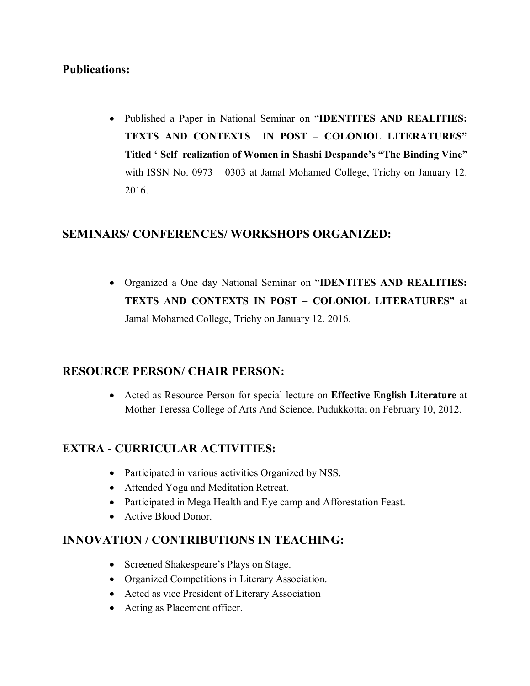### **Publications:**

 Published a Paper in National Seminar on "**IDENTITES AND REALITIES: TEXTS AND CONTEXTS IN POST – COLONIOL LITERATURES" Titled ' Self realization of Women in Shashi Despande's "The Binding Vine"** with ISSN No. 0973 – 0303 at Jamal Mohamed College, Trichy on January 12. 2016.

#### **SEMINARS/ CONFERENCES/ WORKSHOPS ORGANIZED:**

 Organized a One day National Seminar on "**IDENTITES AND REALITIES: TEXTS AND CONTEXTS IN POST – COLONIOL LITERATURES"** at Jamal Mohamed College, Trichy on January 12. 2016.

#### **RESOURCE PERSON/ CHAIR PERSON:**

 Acted as Resource Person for special lecture on **Effective English Literature** at Mother Teressa College of Arts And Science, Pudukkottai on February 10, 2012.

#### **EXTRA - CURRICULAR ACTIVITIES:**

- Participated in various activities Organized by NSS.
- Attended Yoga and Meditation Retreat.
- Participated in Mega Health and Eye camp and Afforestation Feast.
- Active Blood Donor.

#### **INNOVATION / CONTRIBUTIONS IN TEACHING:**

- Screened Shakespeare's Plays on Stage.
- Organized Competitions in Literary Association.
- Acted as vice President of Literary Association
- Acting as Placement officer.